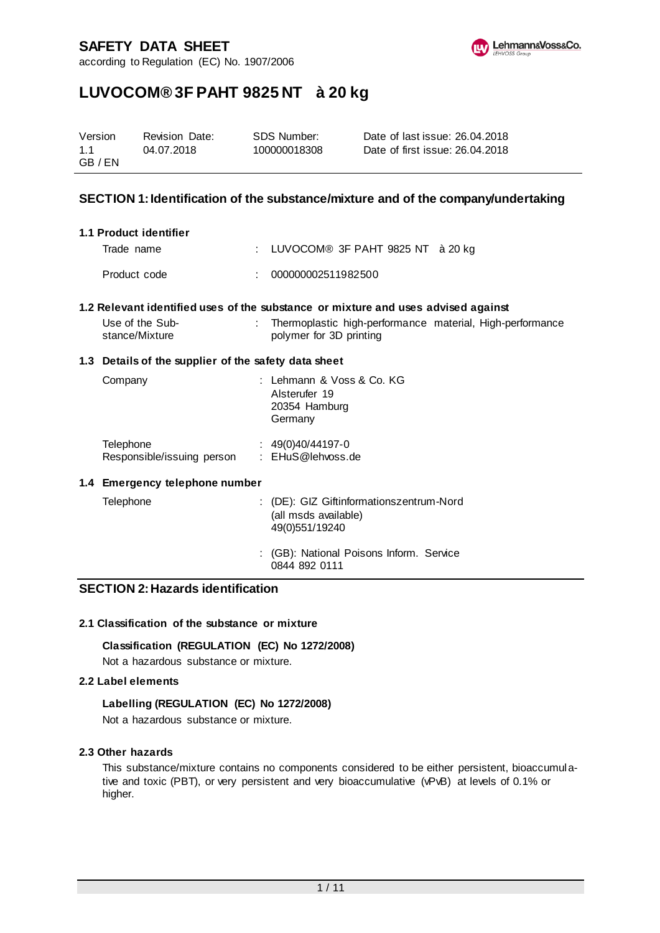according to Regulation (EC) No. 1907/2006



# **LUVOCOM® 3F PAHT 9825 NT à 20 kg**

| Version | <b>Revision Date:</b> | SDS Number:  | Date of last issue: 26.04.2018  |
|---------|-----------------------|--------------|---------------------------------|
| 1.1     | 04.07.2018            | 100000018308 | Date of first issue: 26.04.2018 |
| GB / EN |                       |              |                                 |

# **SECTION 1: Identification of the substance/mixture and of the company/undertaking**

| 1.1 Product identifier |                                                                                   |
|------------------------|-----------------------------------------------------------------------------------|
| Trade name             | : LUVOCOM® 3F PAHT 9825 NT à 20 kg                                                |
| Product code           | : 000000002511982500                                                              |
|                        | 1.2 Relevant identified uses of the substance or mixture and uses advised against |

| Use of the Sub- | Thermoplastic high-performance material, High-performance |  |
|-----------------|-----------------------------------------------------------|--|
| stance/Mixture  | polymer for 3D printing                                   |  |

#### **1.3 Details of the supplier of the safety data sheet**

| Company                    | : Lehmann & Voss & Co. KG<br>Alsterufer 19<br>20354 Hamburg<br>Germany |
|----------------------------|------------------------------------------------------------------------|
| Telephone                  | $: 49(0)40/44197-0$                                                    |
| Responsible/issuing person | : EHuS@lehvoss.de                                                      |

#### **1.4 Emergency telephone number**

| Telephone | : (DE): GIZ Giftinformationszentrum-Nord<br>(all msds available)<br>49(0)551/19240 |
|-----------|------------------------------------------------------------------------------------|
|           | : (GB): National Poisons Inform. Service<br>0844 892 0111                          |

# **SECTION 2: Hazards identification**

## **2.1 Classification of the substance or mixture**

## **Classification (REGULATION (EC) No 1272/2008)**

Not a hazardous substance or mixture.

#### **2.2 Label elements**

#### **Labelling (REGULATION (EC) No 1272/2008)**

Not a hazardous substance or mixture.

## **2.3 Other hazards**

This substance/mixture contains no components considered to be either persistent, bioaccumulative and toxic (PBT), or very persistent and very bioaccumulative (vPvB) at levels of 0.1% or higher.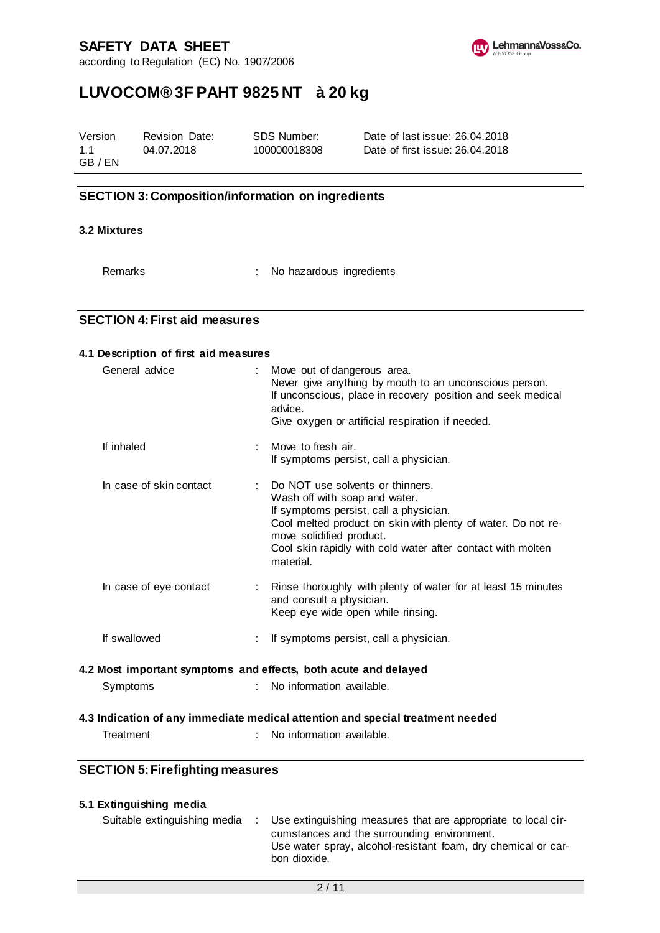according to Regulation (EC) No. 1907/2006



# **LUVOCOM® 3F PAHT 9825 NT à 20 kg**

| Version | Revision Date: | SDS Number:  | Date of last issue: 26.04.2018  |
|---------|----------------|--------------|---------------------------------|
| 1.1     | 04.07.2018     | 100000018308 | Date of first issue: 26.04.2018 |
| GB / EN |                |              |                                 |

# **SECTION 3: Composition/information on ingredients**

### **3.2 Mixtures**

Remarks : No hazardous ingredients

## **SECTION 4: First aid measures**

| General advice          | Move out of dangerous area.<br>advice.<br>Give oxygen or artificial respiration if needed.                                                             | Never give anything by mouth to an unconscious person.<br>If unconscious, place in recovery position and seek medical       |
|-------------------------|--------------------------------------------------------------------------------------------------------------------------------------------------------|-----------------------------------------------------------------------------------------------------------------------------|
| If inhaled              | Move to fresh air.<br>If symptoms persist, call a physician.                                                                                           |                                                                                                                             |
| In case of skin contact | : Do NOT use solvents or thinners.<br>Wash off with soap and water.<br>If symptoms persist, call a physician.<br>move solidified product.<br>material. | Cool melted product on skin with plenty of water. Do not re-<br>Cool skin rapidly with cold water after contact with molten |
| In case of eye contact  | and consult a physician.<br>Keep eye wide open while rinsing.                                                                                          | : Rinse thoroughly with plenty of water for at least 15 minutes                                                             |
| If swallowed            | If symptoms persist, call a physician.                                                                                                                 |                                                                                                                             |
|                         | 4.2 Most important symptoms and effects, both acute and delayed                                                                                        |                                                                                                                             |
| Symptoms                | No information available.<br>÷.                                                                                                                        |                                                                                                                             |

Treatment : No information available.

# **SECTION 5: Firefighting measures**

| 5.1 Extinguishing media      |                                                                                                                                                                                               |
|------------------------------|-----------------------------------------------------------------------------------------------------------------------------------------------------------------------------------------------|
| Suitable extinguishing media | Use extinguishing measures that are appropriate to local cir-<br>cumstances and the surrounding environment.<br>Use water spray, alcohol-resistant foam, dry chemical or car-<br>bon dioxide. |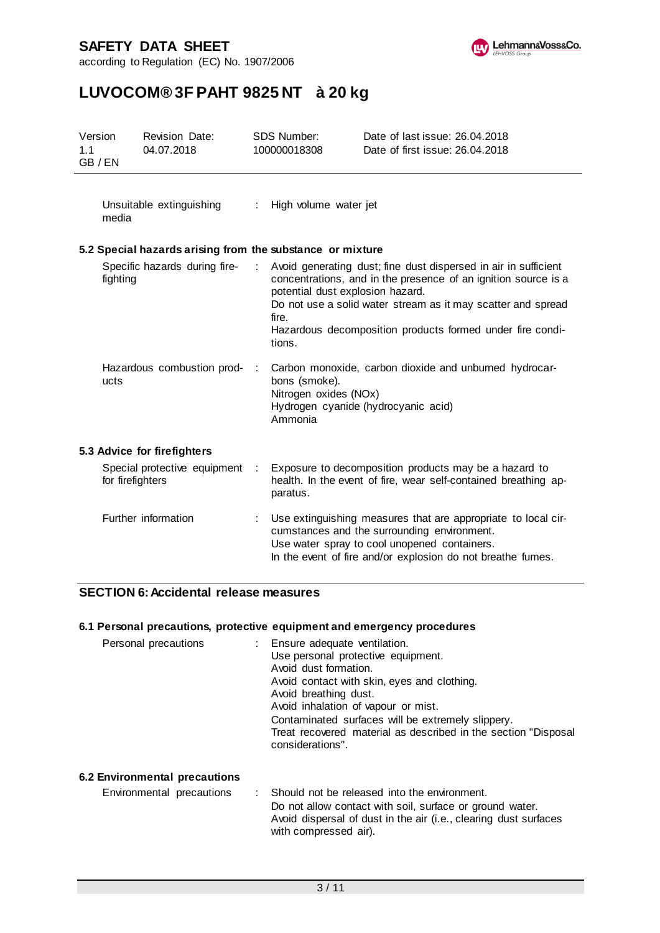



# **LUVOCOM® 3F PAHT 9825 NT à 20 kg**

| Version<br>1.1 | GB / EN          | Revision Date:<br>04.07.2018                              |   | <b>SDS Number:</b><br>100000018308                  | Date of last issue: 26.04.2018<br>Date of first issue: 26.04.2018                                                                                                                                                                                              |
|----------------|------------------|-----------------------------------------------------------|---|-----------------------------------------------------|----------------------------------------------------------------------------------------------------------------------------------------------------------------------------------------------------------------------------------------------------------------|
|                | media            | Unsuitable extinguishing                                  | ÷ | High volume water jet                               |                                                                                                                                                                                                                                                                |
|                |                  | 5.2 Special hazards arising from the substance or mixture |   |                                                     |                                                                                                                                                                                                                                                                |
|                | fighting         | Specific hazards during fire-                             |   | potential dust explosion hazard.<br>fire.<br>tions. | Avoid generating dust; fine dust dispersed in air in sufficient<br>concentrations, and in the presence of an ignition source is a<br>Do not use a solid water stream as it may scatter and spread<br>Hazardous decomposition products formed under fire condi- |
|                | ucts             | Hazardous combustion prod-                                |   | bons (smoke).<br>Nitrogen oxides (NOx)<br>Ammonia   | Carbon monoxide, carbon dioxide and unburned hydrocar-<br>Hydrogen cyanide (hydrocyanic acid)                                                                                                                                                                  |
|                |                  | 5.3 Advice for firefighters                               |   |                                                     |                                                                                                                                                                                                                                                                |
|                | for firefighters | Special protective equipment                              | ÷ | paratus.                                            | Exposure to decomposition products may be a hazard to<br>health. In the event of fire, wear self-contained breathing ap-                                                                                                                                       |
|                |                  | Further information                                       |   |                                                     | Use extinguishing measures that are appropriate to local cir-<br>cumstances and the surrounding environment.<br>Use water spray to cool unopened containers.<br>In the event of fire and/or explosion do not breathe fumes.                                    |

# **SECTION 6: Accidental release measures**

### **6.1 Personal precautions, protective equipment and emergency procedures**

| Personal precautions | : Ensure adequate ventilation.<br>Use personal protective equipment.<br>Avoid dust formation.<br>Avoid contact with skin, eyes and clothing.<br>Avoid breathing dust.<br>Avoid inhalation of vapour or mist.<br>Contaminated surfaces will be extremely slippery.<br>Treat recovered material as described in the section "Disposal |
|----------------------|-------------------------------------------------------------------------------------------------------------------------------------------------------------------------------------------------------------------------------------------------------------------------------------------------------------------------------------|
|                      | considerations".                                                                                                                                                                                                                                                                                                                    |

# **6.2 Environmental precautions**

Environmental precautions : Should not be released into the environment. Do not allow contact with soil, surface or ground water. Avoid dispersal of dust in the air (i.e., clearing dust surfaces with compressed air).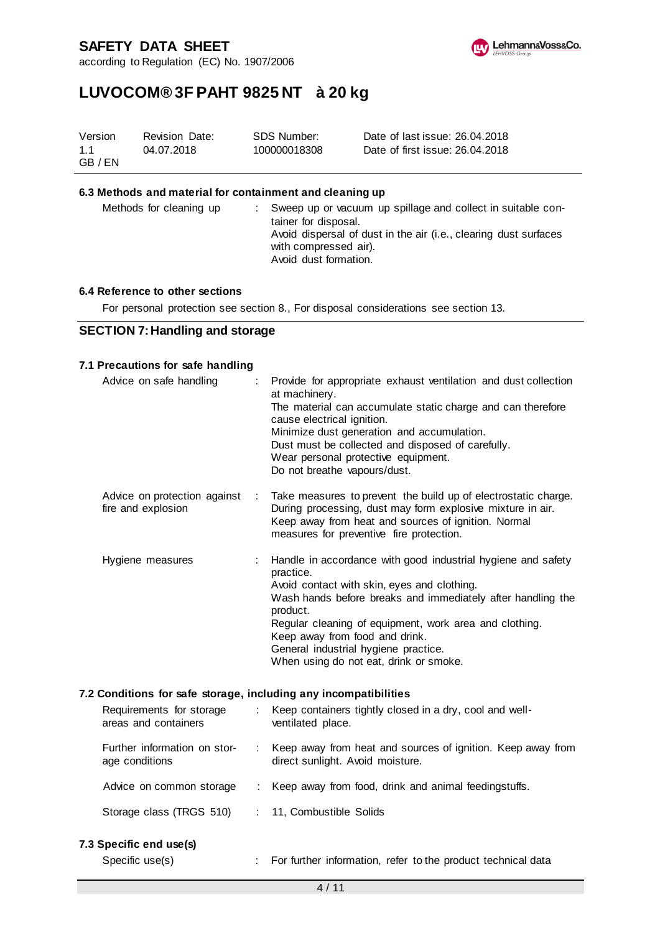according to Regulation (EC) No. 1907/2006



# **LUVOCOM® 3F PAHT 9825 NT à 20 kg**

| Version | Revision Date: | SDS Number:  | Date of last issue: 26.04.2018  |
|---------|----------------|--------------|---------------------------------|
| 1.1     | 04.07.2018     | 100000018308 | Date of first issue: 26.04.2018 |
| GB / EN |                |              |                                 |

### **6.3 Methods and material for containment and cleaning up**

| Methods for cleaning up |  | Sweep up or vacuum up spillage and collect in suitable con-<br>tainer for disposal.<br>Avoid dispersal of dust in the air (i.e., clearing dust surfaces<br>with compressed air).<br>Avoid dust formation. |
|-------------------------|--|-----------------------------------------------------------------------------------------------------------------------------------------------------------------------------------------------------------|
|-------------------------|--|-----------------------------------------------------------------------------------------------------------------------------------------------------------------------------------------------------------|

#### **6.4 Reference to other sections**

For personal protection see section 8., For disposal considerations see section 13.

#### **SECTION 7: Handling and storage**

#### **7.1 Precautions for safe handling**

| Advice on safe handling                                          |    | Provide for appropriate exhaust ventilation and dust collection<br>at machinery.<br>The material can accumulate static charge and can therefore<br>cause electrical ignition.<br>Minimize dust generation and accumulation.<br>Dust must be collected and disposed of carefully.<br>Wear personal protective equipment.                                                           |
|------------------------------------------------------------------|----|-----------------------------------------------------------------------------------------------------------------------------------------------------------------------------------------------------------------------------------------------------------------------------------------------------------------------------------------------------------------------------------|
|                                                                  |    | Do not breathe vapours/dust.                                                                                                                                                                                                                                                                                                                                                      |
| Advice on protection against<br>fire and explosion               | ÷. | Take measures to prevent the build up of electrostatic charge.<br>During processing, dust may form explosive mixture in air.<br>Keep away from heat and sources of ignition. Normal<br>measures for preventive fire protection.                                                                                                                                                   |
| Hygiene measures                                                 |    | Handle in accordance with good industrial hygiene and safety<br>practice.<br>Avoid contact with skin, eyes and clothing.<br>Wash hands before breaks and immediately after handling the<br>product.<br>Regular cleaning of equipment, work area and clothing.<br>Keep away from food and drink.<br>General industrial hygiene practice.<br>When using do not eat, drink or smoke. |
|                                                                  |    |                                                                                                                                                                                                                                                                                                                                                                                   |
| 7.2 Conditions for safe storage, including any incompatibilities |    |                                                                                                                                                                                                                                                                                                                                                                                   |

# Requirements for storage areas and containers : Keep containers tightly closed in a dry, cool and wellventilated place. Further information on storage conditions : Keep away from heat and sources of ignition. Keep away from direct sunlight. Avoid moisture. Advice on common storage : Keep away from food, drink and animal feedingstuffs. Storage class (TRGS 510) : 11, Combustible Solids

**7.3 Specific end use(s)**

Specific use(s) : For further information, refer to the product technical data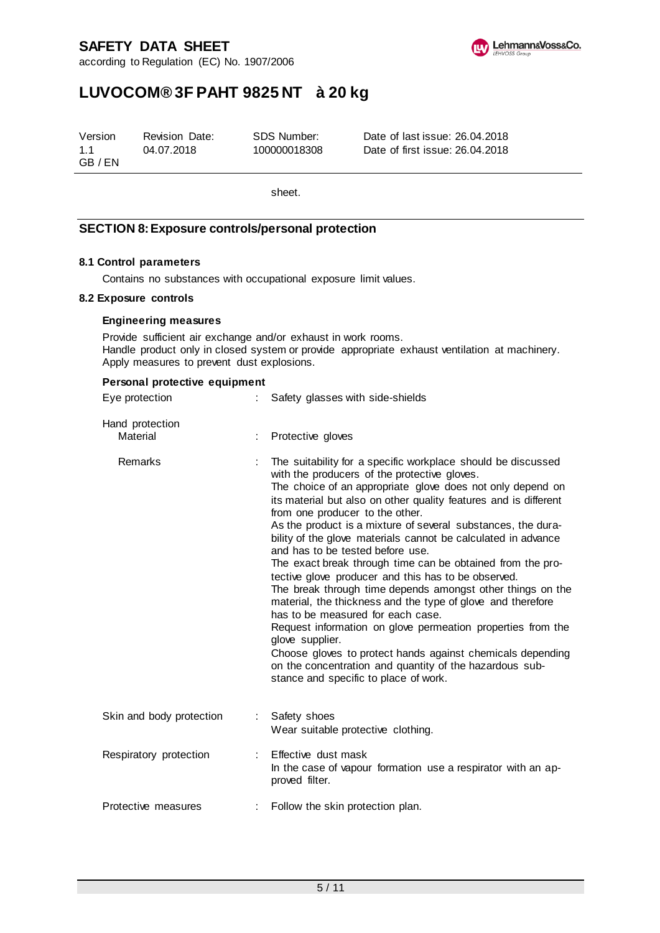according to Regulation (EC) No. 1907/2006



# **LUVOCOM® 3F PAHT 9825 NT à 20 kg**

| Version        | Revision Date: | SDS Number:  | Date of last issue: 26.04.2018  |
|----------------|----------------|--------------|---------------------------------|
| 1.1<br>GB / EN | 04.07.2018     | 100000018308 | Date of first issue: 26.04.2018 |

sheet.

# **SECTION 8: Exposure controls/personal protection**

### **8.1 Control parameters**

Contains no substances with occupational exposure limit values.

#### **8.2 Exposure controls**

#### **Engineering measures**

Provide sufficient air exchange and/or exhaust in work rooms. Handle product only in closed system or provide appropriate exhaust ventilation at machinery. Apply measures to prevent dust explosions.

| Personal protective equipment |    |                                                                                                                                                                                                                                                                                                                                                                                                                                                                                                                                                                                                                                                                                                                                                                                                                                                                                                                                                                                                   |  |  |  |
|-------------------------------|----|---------------------------------------------------------------------------------------------------------------------------------------------------------------------------------------------------------------------------------------------------------------------------------------------------------------------------------------------------------------------------------------------------------------------------------------------------------------------------------------------------------------------------------------------------------------------------------------------------------------------------------------------------------------------------------------------------------------------------------------------------------------------------------------------------------------------------------------------------------------------------------------------------------------------------------------------------------------------------------------------------|--|--|--|
| Eye protection                | t. | Safety glasses with side-shields                                                                                                                                                                                                                                                                                                                                                                                                                                                                                                                                                                                                                                                                                                                                                                                                                                                                                                                                                                  |  |  |  |
| Hand protection<br>Material   |    | Protective gloves                                                                                                                                                                                                                                                                                                                                                                                                                                                                                                                                                                                                                                                                                                                                                                                                                                                                                                                                                                                 |  |  |  |
| Remarks                       |    | The suitability for a specific workplace should be discussed<br>with the producers of the protective gloves.<br>The choice of an appropriate glove does not only depend on<br>its material but also on other quality features and is different<br>from one producer to the other.<br>As the product is a mixture of several substances, the dura-<br>bility of the glove materials cannot be calculated in advance<br>and has to be tested before use.<br>The exact break through time can be obtained from the pro-<br>tective glove producer and this has to be observed.<br>The break through time depends amongst other things on the<br>material, the thickness and the type of glove and therefore<br>has to be measured for each case.<br>Request information on glove permeation properties from the<br>glove supplier.<br>Choose gloves to protect hands against chemicals depending<br>on the concentration and quantity of the hazardous sub-<br>stance and specific to place of work. |  |  |  |
| Skin and body protection      | t. | Safety shoes<br>Wear suitable protective clothing.                                                                                                                                                                                                                                                                                                                                                                                                                                                                                                                                                                                                                                                                                                                                                                                                                                                                                                                                                |  |  |  |
| Respiratory protection        |    | Effective dust mask<br>In the case of vapour formation use a respirator with an ap-<br>proved filter.                                                                                                                                                                                                                                                                                                                                                                                                                                                                                                                                                                                                                                                                                                                                                                                                                                                                                             |  |  |  |
| Protective measures           | ÷. | Follow the skin protection plan.                                                                                                                                                                                                                                                                                                                                                                                                                                                                                                                                                                                                                                                                                                                                                                                                                                                                                                                                                                  |  |  |  |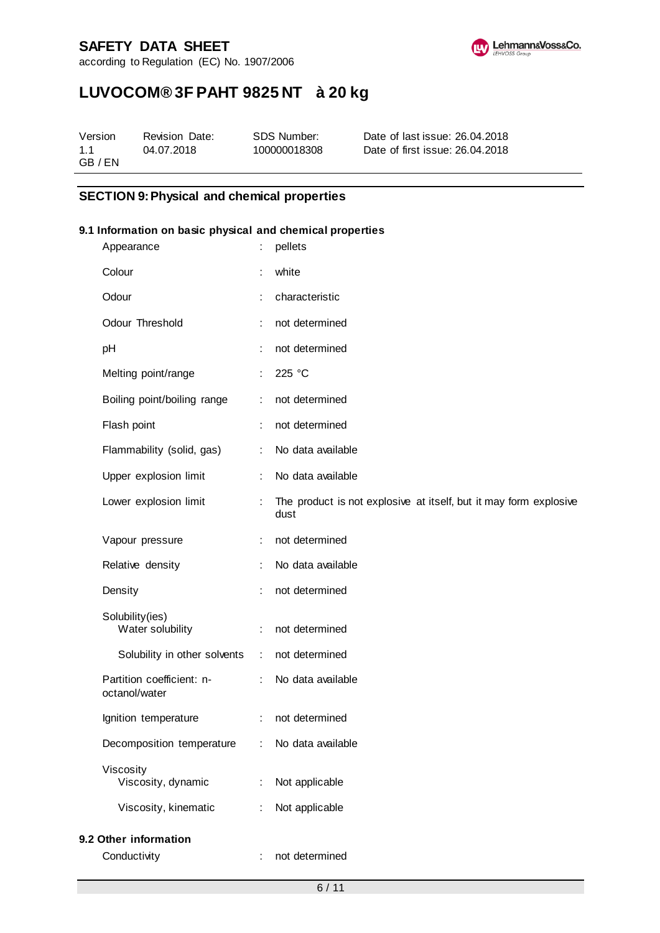according to Regulation (EC) No. 1907/2006



# **LUVOCOM® 3F PAHT 9825 NT à 20 kg**

| Version | <b>Revision Date:</b> | SDS Number:  | Date of last issue: 26.04.2018  |
|---------|-----------------------|--------------|---------------------------------|
| 1.1     | 04.07.2018            | 100000018308 | Date of first issue: 26.04.2018 |
| GB / EN |                       |              |                                 |

# **SECTION 9: Physical and chemical properties**

### **9.1 Information on basic physical and chemical properties**

| Appearance                                 |                | pellets                                                                   |
|--------------------------------------------|----------------|---------------------------------------------------------------------------|
| Colour                                     |                | white                                                                     |
| Odour                                      | t.             | characteristic                                                            |
| Odour Threshold                            |                | not determined                                                            |
| pH                                         |                | not determined                                                            |
| Melting point/range                        | ÷              | 225 °C                                                                    |
| Boiling point/boiling range                | ÷              | not determined                                                            |
| Flash point                                | ÷              | not determined                                                            |
| Flammability (solid, gas)                  | ÷              | No data available                                                         |
| Upper explosion limit                      |                | No data available                                                         |
| Lower explosion limit                      |                | The product is not explosive at itself, but it may form explosive<br>dust |
| Vapour pressure                            | ÷              | not determined                                                            |
| Relative density                           | ÷              | No data available                                                         |
| Density                                    | t              | not determined                                                            |
| Solubility(ies)<br>Water solubility        | ÷              | not determined                                                            |
| Solubility in other solvents               | $\mathbb{Z}^2$ | not determined                                                            |
| Partition coefficient: n-<br>octanol/water | ÷              | No data available                                                         |
| Ignition temperature                       | ÷              | not determined                                                            |
| Decomposition temperature                  |                | No data available                                                         |
| Viscosity<br>Viscosity, dynamic            | ÷              | Not applicable                                                            |
| Viscosity, kinematic                       | ÷              | Not applicable                                                            |
| 9.2 Other information                      |                |                                                                           |
| Conductivity                               | ÷              | not determined                                                            |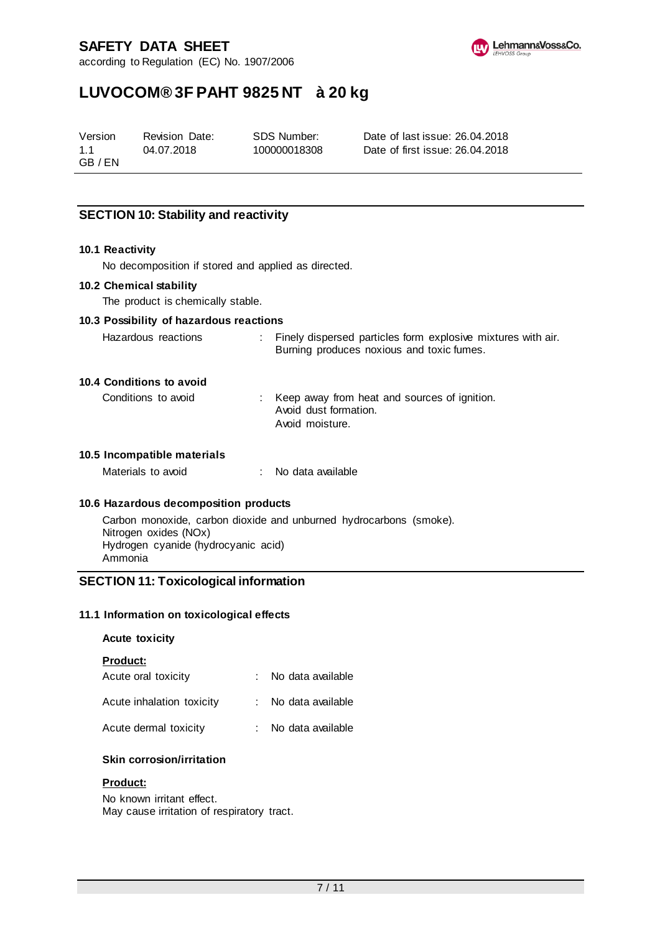according to Regulation (EC) No. 1907/2006



# **LUVOCOM® 3F PAHT 9825 NT à 20 kg**

Version 1.1 GB / EN Revision Date: 04.07.2018

SDS Number: 100000018308

Date of last issue: 26.04.2018 Date of first issue: 26.04.2018

# **SECTION 10: Stability and reactivity**

#### **10.1 Reactivity**

No decomposition if stored and applied as directed.

#### **10.2 Chemical stability**

The product is chemically stable.

#### **10.3 Possibility of hazardous reactions**

| Hazardous reactions | : Finely dispersed particles form explosive mixtures with air. |
|---------------------|----------------------------------------------------------------|
|                     | Burning produces noxious and toxic fumes.                      |

## **10.4 Conditions to avoid**

| Conditions to avoid | : Keep away from heat and sources of ignition. |
|---------------------|------------------------------------------------|
|                     | Avoid dust formation.                          |
|                     | Avoid moisture.                                |

### **10.5 Incompatible materials**

| Materials to avoid |  | No data available |
|--------------------|--|-------------------|
|--------------------|--|-------------------|

#### **10.6 Hazardous decomposition products**

Carbon monoxide, carbon dioxide and unburned hydrocarbons (smoke). Nitrogen oxides (NOx) Hydrogen cyanide (hydrocyanic acid) Ammonia

## **SECTION 11: Toxicological information**

#### **11.1 Information on toxicological effects**

#### **Acute toxicity**

#### **Product:**

| Acute oral toxicity       | No data available |
|---------------------------|-------------------|
| Acute inhalation toxicity | No data available |

| Acute dermal toxicity | No data available |
|-----------------------|-------------------|

## **Skin corrosion/irritation**

#### **Product:**

No known irritant effect. May cause irritation of respiratory tract.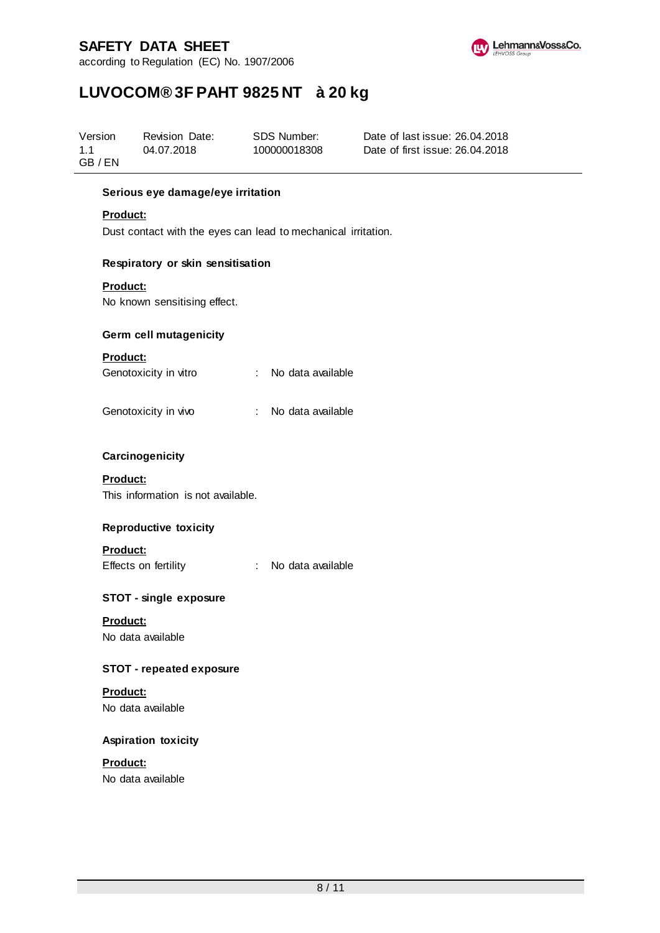according to Regulation (EC) No. 1907/2006



# **LUVOCOM® 3F PAHT 9825 NT à 20 kg**

| Version | Revision Date: | SDS Number:  | Date of last issue: 26.04.2018  |
|---------|----------------|--------------|---------------------------------|
| 1.1     | 04.07.2018     | 100000018308 | Date of first issue: 26.04.2018 |
| GB / EN |                |              |                                 |

### **Serious eye damage/eye irritation**

#### **Product:**

Dust contact with the eyes can lead to mechanical irritation.

### **Respiratory or skin sensitisation**

### **Product:**

No known sensitising effect.

#### **Germ cell mutagenicity**

#### **Product:**

| Genotoxicity in vitro |  |  | No data available |
|-----------------------|--|--|-------------------|
|                       |  |  |                   |

## **Carcinogenicity**

## **Product:**

This information is not available.

## **Reproductive toxicity**

## **Product:**

Effects on fertility : No data available

## **STOT - single exposure**

**Product:** No data available

## **STOT - repeated exposure**

**Product:** No data available

## **Aspiration toxicity**

## **Product:** No data available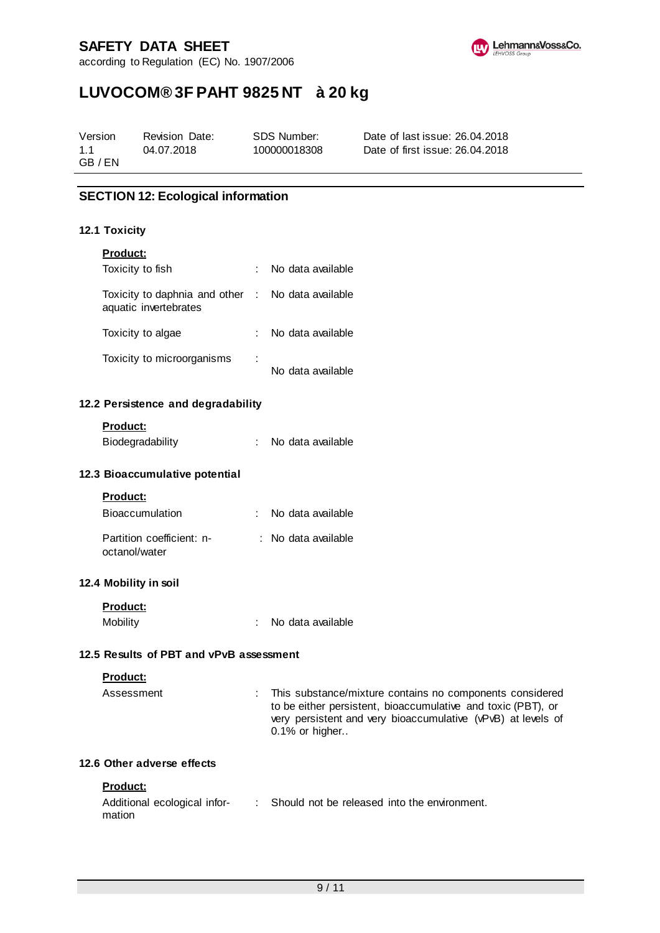according to Regulation (EC) No. 1907/2006



# **LUVOCOM® 3F PAHT 9825 NT à 20 kg**

| Version | Revision Date: | SDS Number:  | Date of last issue: 26.04.2018  |
|---------|----------------|--------------|---------------------------------|
| 1.1     | 04.07.2018     | 100000018308 | Date of first issue: 26.04.2018 |
| GB / EN |                |              |                                 |

# **SECTION 12: Ecological information**

#### **12.1 Toxicity**

### **Product:**

| Toxicity to fish                                                           |   | : No data available |
|----------------------------------------------------------------------------|---|---------------------|
| Toxicity to daphnia and other : No data available<br>aquatic invertebrates |   |                     |
| Toxicity to algae                                                          |   | No data available   |
| Toxicity to microorganisms                                                 | ÷ | No data available   |

### **12.2 Persistence and degradability**

#### **Product:**

| Biodegradability |  |  | No data available |
|------------------|--|--|-------------------|
|------------------|--|--|-------------------|

#### **12.3 Bioaccumulative potential**

#### **Product:**

| <b>Bioaccumulation</b>                     | No data available   |
|--------------------------------------------|---------------------|
| Partition coefficient: n-<br>octanol/water | : No data available |

## **12.4 Mobility in soil**

| <b>Product:</b> |                   |
|-----------------|-------------------|
| Mobility        | No data available |

# **12.5 Results of PBT and vPvB assessment**

### **Product:**

| Assessment | : This substance/mixture contains no components considered   |
|------------|--------------------------------------------------------------|
|            | to be either persistent, bioaccumulative and toxic (PBT), or |
|            | very persistent and very bioaccumulative (vPvB) at levels of |
|            | $0.1\%$ or higher                                            |

# **12.6 Other adverse effects**

### **Product:**

| Additional ecological infor- | Should not be released into the environment. |
|------------------------------|----------------------------------------------|
| mation                       |                                              |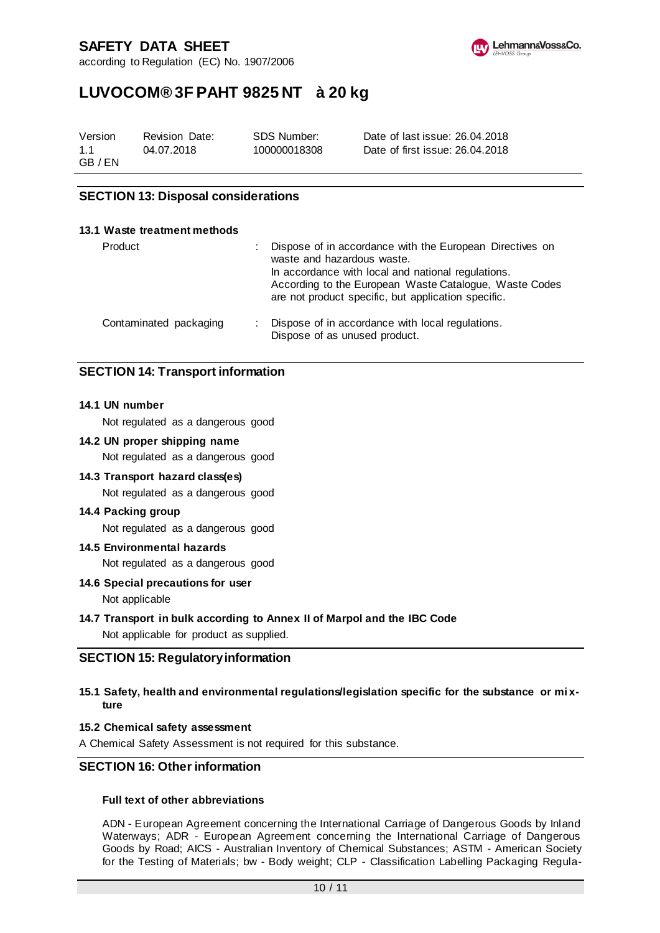according to Regulation (EC) No. 1907/2006



# **LUVOCOM® 3F PAHT 9825 NT à 20 kg**

| Version | Revision Date: | SDS Number:  | Date of last issue: 26.04.2018  |
|---------|----------------|--------------|---------------------------------|
| 11      | 04.07.2018     | 100000018308 | Date of first issue: 26.04.2018 |
| GB / EN |                |              |                                 |

# **SECTION 13: Disposal considerations**

| 13.1 Waste treatment methods |                                                                                                                                                                                                                                                               |
|------------------------------|---------------------------------------------------------------------------------------------------------------------------------------------------------------------------------------------------------------------------------------------------------------|
| Product                      | Dispose of in accordance with the European Directives on<br>waste and hazardous waste.<br>In accordance with local and national regulations.<br>According to the European Waste Catalogue, Waste Codes<br>are not product specific, but application specific. |
| Contaminated packaging       | Dispose of in accordance with local regulations.<br>Dispose of as unused product.                                                                                                                                                                             |

# **SECTION 14: Transport information**

#### **14.1 UN number**

Not regulated as a dangerous good

#### **14.2 UN proper shipping name**

Not regulated as a dangerous good

#### **14.3 Transport hazard class(es)**

Not regulated as a dangerous good

#### **14.4 Packing group**

Not regulated as a dangerous good

#### **14.5 Environmental hazards**

Not regulated as a dangerous good

#### **14.6 Special precautions for user**

Not applicable

#### **14.7 Transport in bulk according to Annex II of Marpol and the IBC Code**

Not applicable for product as supplied.

#### **SECTION 15: Regulatory information**

#### **15.1 Safety, health and environmental regulations/legislation specific for the substance or mi xture**

#### **15.2 Chemical safety assessment**

A Chemical Safety Assessment is not required for this substance.

# **SECTION 16: Other information**

#### **Full text of other abbreviations**

ADN - European Agreement concerning the International Carriage of Dangerous Goods by Inland Waterways; ADR - European Agreement concerning the International Carriage of Dangerous Goods by Road; AICS - Australian Inventory of Chemical Substances; ASTM - American Society for the Testing of Materials; bw - Body weight; CLP - Classification Labelling Packaging Regula-